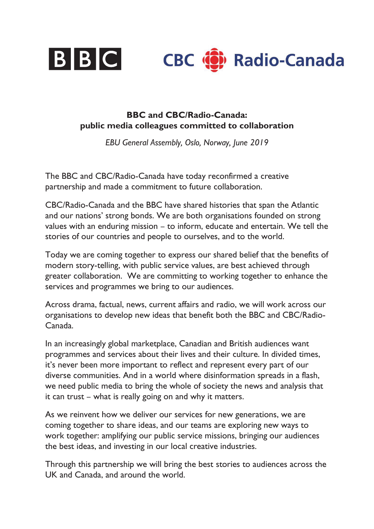

## **BBC and CBC/Radio-Canada: public media colleagues committed to collaboration**

*EBU General Assembly, Oslo, Norway, June 2019*

The BBC and CBC/Radio-Canada have today reconfirmed a creative partnership and made a commitment to future collaboration.

CBC/Radio-Canada and the BBC have shared histories that span the Atlantic and our nations' strong bonds. We are both organisations founded on strong values with an enduring mission – to inform, educate and entertain. We tell the stories of our countries and people to ourselves, and to the world.

Today we are coming together to express our shared belief that the benefits of modern story-telling, with public service values, are best achieved through greater collaboration. We are committing to working together to enhance the services and programmes we bring to our audiences.

Across drama, factual, news, current affairs and radio, we will work across our organisations to develop new ideas that benefit both the BBC and CBC/Radio-Canada.

In an increasingly global marketplace, Canadian and British audiences want programmes and services about their lives and their culture. In divided times, it's never been more important to reflect and represent every part of our diverse communities. And in a world where disinformation spreads in a flash, we need public media to bring the whole of society the news and analysis that it can trust – what is really going on and why it matters.

As we reinvent how we deliver our services for new generations, we are coming together to share ideas, and our teams are exploring new ways to work together: amplifying our public service missions, bringing our audiences the best ideas, and investing in our local creative industries.

Through this partnership we will bring the best stories to audiences across the UK and Canada, and around the world.